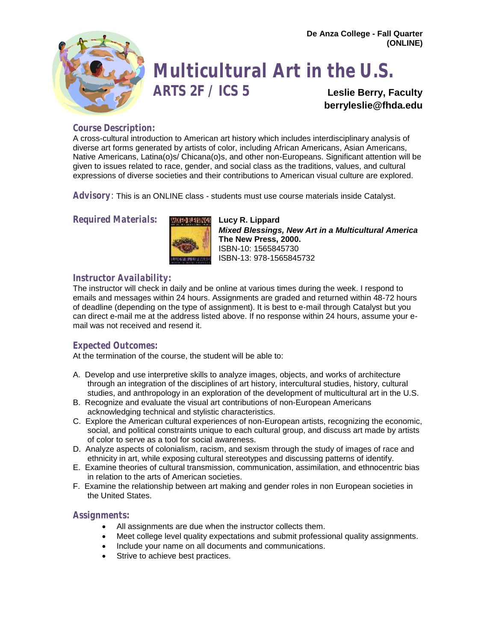

# **Multicultural Art in the U.S.**

**ARTS 2F / ICS 5 Leslie Berry, Faculty [berryleslie@fhda.edu](mailto:Lberry4933@aol.com)**

# **Course Description:**

A cross-cultural introduction to American art history which includes interdisciplinary analysis of diverse art forms generated by artists of color, including African Americans, Asian Americans, Native Americans, Latina(o)s/ Chicana(o)s, and other non-Europeans. Significant attention will be given to issues related to race, gender, and social class as the traditions, values, and cultural expressions of diverse societies and their contributions to American visual culture are explored.

**Advisory**: This is an ONLINE class - students must use course materials inside Catalyst.

# **Required Materials: MILION ELUCY R. Lippard**



*Mixed Blessings, New Art in a Multicultural America* **The New Press, 2000.**  ISBN-10: 1565845730 ISBN-13: 978-1565845732

# **Instructor Availability:**

The instructor will check in daily and be online at various times during the week. I respond to emails and messages within 24 hours. Assignments are graded and returned within 48-72 hours of deadline (depending on the type of assignment). It is best to e-mail through Catalyst but you can direct e-mail me at the address listed above. If no response within 24 hours, assume your email was not received and resend it.

# **Expected Outcomes:**

At the termination of the course, the student will be able to:

- A. Develop and use interpretive skills to analyze images, objects, and works of architecture through an integration of the disciplines of art history, intercultural studies, history, cultural studies, and anthropology in an exploration of the development of multicultural art in the U.S.
- B. Recognize and evaluate the visual art contributions of non-European Americans acknowledging technical and stylistic characteristics.
- C. Explore the American cultural experiences of non-European artists, recognizing the economic, social, and political constraints unique to each cultural group, and discuss art made by artists of color to serve as a tool for social awareness.
- D. Analyze aspects of colonialism, racism, and sexism through the study of images of race and ethnicity in art, while exposing cultural stereotypes and discussing patterns of identify.
- E. Examine theories of cultural transmission, communication, assimilation, and ethnocentric bias in relation to the arts of American societies.
- F. Examine the relationship between art making and gender roles in non European societies in the United States.

## **Assignments:**

- All assignments are due when the instructor collects them.
- Meet college level quality expectations and submit professional quality assignments.
- Include your name on all documents and communications.
- Strive to achieve best practices.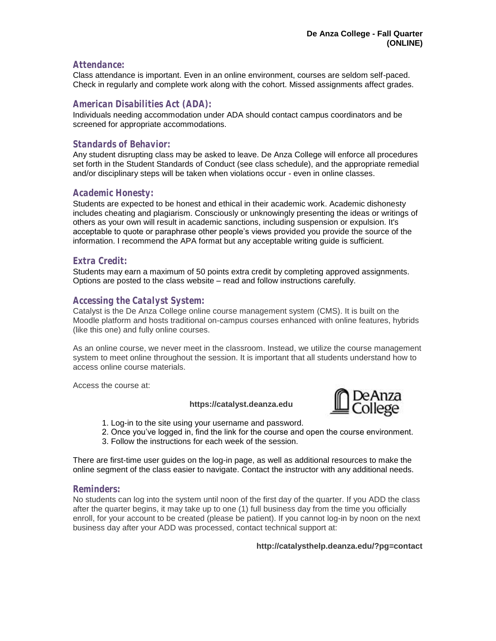#### **Attendance:**

Class attendance is important. Even in an online environment, courses are seldom self-paced. Check in regularly and complete work along with the cohort. Missed assignments affect grades.

# **American Disabilities Act (ADA):**

Individuals needing accommodation under ADA should contact campus coordinators and be screened for appropriate accommodations.

# **Standards of Behavior:**

Any student disrupting class may be asked to leave. De Anza College will enforce all procedures set forth in the Student Standards of Conduct (see class schedule), and the appropriate remedial and/or disciplinary steps will be taken when violations occur - even in online classes.

### **Academic Honesty:**

Students are expected to be honest and ethical in their academic work. Academic dishonesty includes cheating and plagiarism. Consciously or unknowingly presenting the ideas or writings of others as your own will result in academic sanctions, including suspension or expulsion. It's acceptable to quote or paraphrase other people's views provided you provide the source of the information. I recommend the APA format but any acceptable writing guide is sufficient.

## **Extra Credit:**

Students may earn a maximum of 50 points extra credit by completing approved assignments. Options are posted to the class website – read and follow instructions carefully.

## **Accessing the Catalyst System:**

Catalyst is the De Anza College online course management system (CMS). It is built on the Moodle platform and hosts traditional on-campus courses enhanced with online features, hybrids (like this one) and fully online courses.

As an online course, we never meet in the classroom. Instead, we utilize the course management system to meet online throughout the session. It is important that all students understand how to access online course materials.

Access the course at:

#### **https://catalyst.deanza.edu**



- 1. Log-in to the site using your username and password.
- 2. Once you've logged in, find the link for the course and open the course environment.
- 3. Follow the instructions for each week of the session.

There are first-time user guides on the log-in page, as well as additional resources to make the online segment of the class easier to navigate. Contact the instructor with any additional needs.

#### **Reminders:**

No students can log into the system until noon of the first day of the quarter. If you ADD the class after the quarter begins, it may take up to one (1) full business day from the time you officially enroll, for your account to be created (please be patient). If you cannot log-in by noon on the next business day after your ADD was processed, contact technical support at:

#### **http://catalysthelp.deanza.edu/?pg=contact**